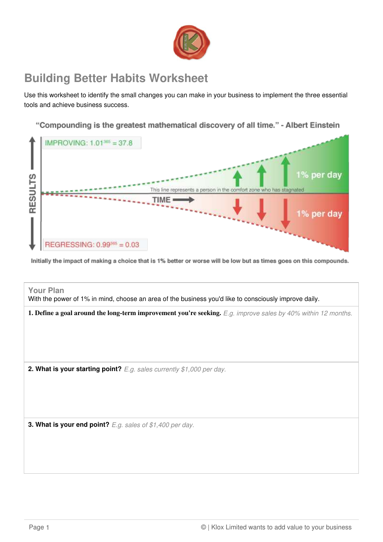

## **Building Better Habits Worksheet**

Use this worksheet to identify the small changes you can make in your business to implement the three essential tools and achieve business success.

"Compounding is the greatest mathematical discovery of all time." - Albert Einstein



Initially the impact of making a choice that is 1% better or worse will be low but as times goes on this compounds.

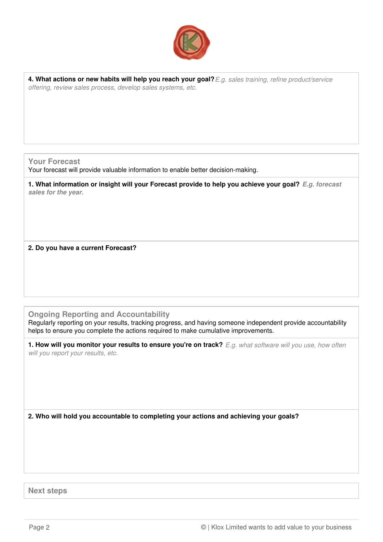

**4. What actions or new habits will help you reach your goal?**E.g. sales training, refine product/service offering, review sales process, develop sales systems, etc.

**Your Forecast**

Your forecast will provide valuable information to enable better decision-making.

**1. What information or insight will your Forecast provide to help you achieve your goal? E.g. forecast sales for the year.**

**2. Do you have a current Forecast?**

**Ongoing Reporting and Accountability**

Regularly reporting on your results, tracking progress, and having someone independent provide accountability helps to ensure you complete the actions required to make cumulative improvements.

**1. How will you monitor your results to ensure you're on track?** E.g. what software will you use, how often will you report your results, etc.

**2. Who will hold you accountable to completing your actions and achieving your goals?**

**Next steps**